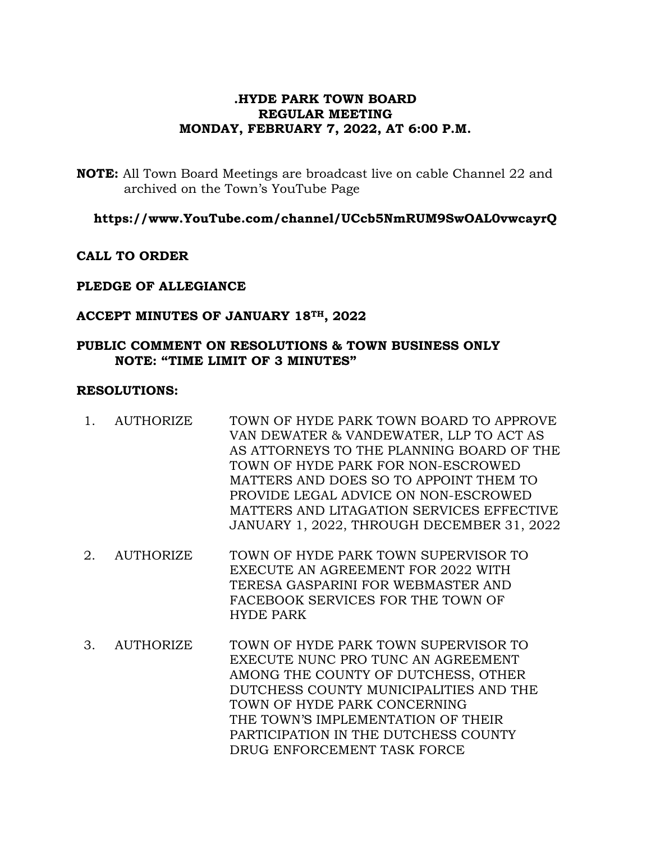# **.HYDE PARK TOWN BOARD REGULAR MEETING MONDAY, FEBRUARY 7, 2022, AT 6:00 P.M.**

**NOTE:** All Town Board Meetings are broadcast live on cable Channel 22 and archived on the Town's YouTube Page

**https://www.YouTube.com/channel/UCcb5NmRUM9SwOAL0vwcayrQ**

**CALL TO ORDER**

# **PLEDGE OF ALLEGIANCE**

# **ACCEPT MINUTES OF JANUARY 18TH, 2022**

### **PUBLIC COMMENT ON RESOLUTIONS & TOWN BUSINESS ONLY NOTE: "TIME LIMIT OF 3 MINUTES"**

#### **RESOLUTIONS:**

- 1. AUTHORIZE TOWN OF HYDE PARK TOWN BOARD TO APPROVE VAN DEWATER & VANDEWATER, LLP TO ACT AS AS ATTORNEYS TO THE PLANNING BOARD OF THE TOWN OF HYDE PARK FOR NON-ESCROWED MATTERS AND DOES SO TO APPOINT THEM TO PROVIDE LEGAL ADVICE ON NON-ESCROWED MATTERS AND LITAGATION SERVICES EFFECTIVE JANUARY 1, 2022, THROUGH DECEMBER 31, 2022
- 2. AUTHORIZE TOWN OF HYDE PARK TOWN SUPERVISOR TO EXECUTE AN AGREEMENT FOR 2022 WITH TERESA GASPARINI FOR WEBMASTER AND FACEBOOK SERVICES FOR THE TOWN OF HYDE PARK
- 3. AUTHORIZE TOWN OF HYDE PARK TOWN SUPERVISOR TO EXECUTE NUNC PRO TUNC AN AGREEMENT AMONG THE COUNTY OF DUTCHESS, OTHER DUTCHESS COUNTY MUNICIPALITIES AND THE TOWN OF HYDE PARK CONCERNING THE TOWN'S IMPLEMENTATION OF THEIR PARTICIPATION IN THE DUTCHESS COUNTY DRUG ENFORCEMENT TASK FORCE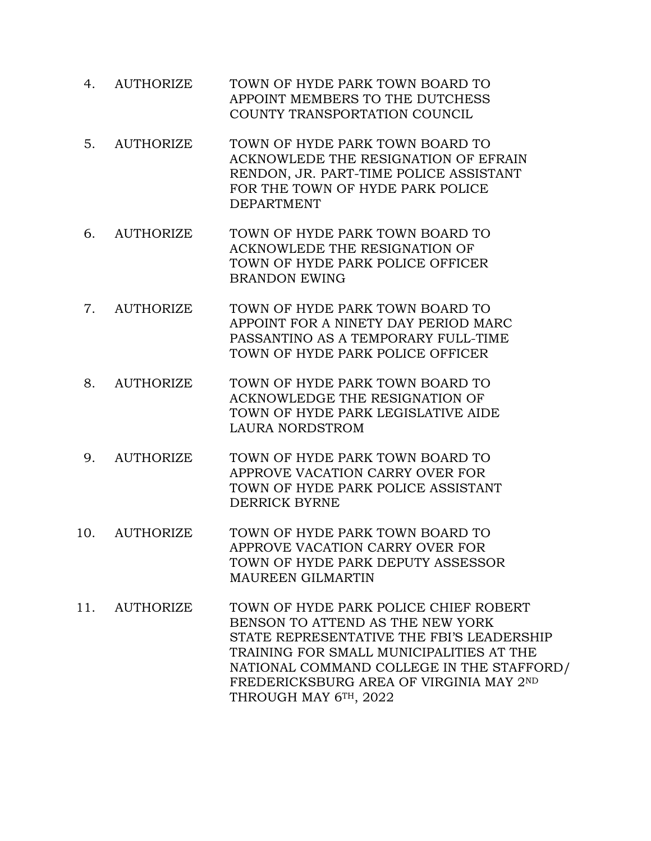- 4. AUTHORIZE TOWN OF HYDE PARK TOWN BOARD TO APPOINT MEMBERS TO THE DUTCHESS COUNTY TRANSPORTATION COUNCIL
- 5. AUTHORIZE TOWN OF HYDE PARK TOWN BOARD TO ACKNOWLEDE THE RESIGNATION OF EFRAIN RENDON, JR. PART-TIME POLICE ASSISTANT FOR THE TOWN OF HYDE PARK POLICE DEPARTMENT
- 6. AUTHORIZE TOWN OF HYDE PARK TOWN BOARD TO ACKNOWLEDE THE RESIGNATION OF TOWN OF HYDE PARK POLICE OFFICER BRANDON EWING
- 7. AUTHORIZE TOWN OF HYDE PARK TOWN BOARD TO APPOINT FOR A NINETY DAY PERIOD MARC PASSANTINO AS A TEMPORARY FULL-TIME TOWN OF HYDE PARK POLICE OFFICER
- 8. AUTHORIZE TOWN OF HYDE PARK TOWN BOARD TO ACKNOWLEDGE THE RESIGNATION OF TOWN OF HYDE PARK LEGISLATIVE AIDE LAURA NORDSTROM
- 9. AUTHORIZE TOWN OF HYDE PARK TOWN BOARD TO APPROVE VACATION CARRY OVER FOR TOWN OF HYDE PARK POLICE ASSISTANT DERRICK BYRNE
- 10. AUTHORIZE TOWN OF HYDE PARK TOWN BOARD TO APPROVE VACATION CARRY OVER FOR TOWN OF HYDE PARK DEPUTY ASSESSOR MAUREEN GILMARTIN
- 11. AUTHORIZE TOWN OF HYDE PARK POLICE CHIEF ROBERT BENSON TO ATTEND AS THE NEW YORK STATE REPRESENTATIVE THE FBI'S LEADERSHIP TRAINING FOR SMALL MUNICIPALITIES AT THE NATIONAL COMMAND COLLEGE IN THE STAFFORD/ FREDERICKSBURG AREA OF VIRGINIA MAY 2ND THROUGH MAY 6TH, 2022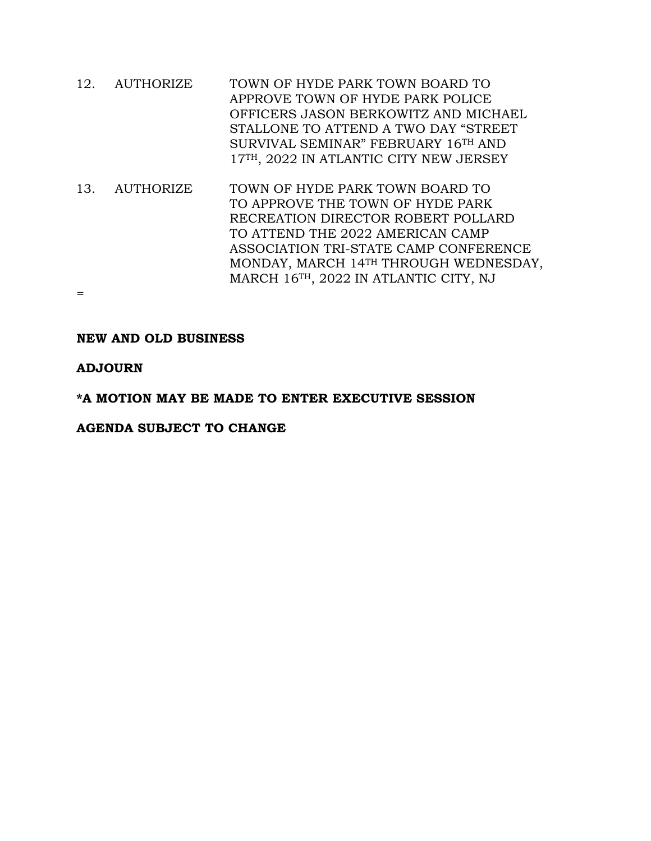- 12. AUTHORIZE TOWN OF HYDE PARK TOWN BOARD TO APPROVE TOWN OF HYDE PARK POLICE OFFICERS JASON BERKOWITZ AND MICHAEL STALLONE TO ATTEND A TWO DAY "STREET SURVIVAL SEMINAR" FEBRUARY 16TH AND 17TH, 2022 IN ATLANTIC CITY NEW JERSEY
- 13. AUTHORIZE TOWN OF HYDE PARK TOWN BOARD TO TO APPROVE THE TOWN OF HYDE PARK RECREATION DIRECTOR ROBERT POLLARD TO ATTEND THE 2022 AMERICAN CAMP ASSOCIATION TRI-STATE CAMP CONFERENCE MONDAY, MARCH 14TH THROUGH WEDNESDAY, MARCH 16TH, 2022 IN ATLANTIC CITY, NJ

# **NEW AND OLD BUSINESS**

# **ADJOURN**

=

#### **\*A MOTION MAY BE MADE TO ENTER EXECUTIVE SESSION**

#### **AGENDA SUBJECT TO CHANGE**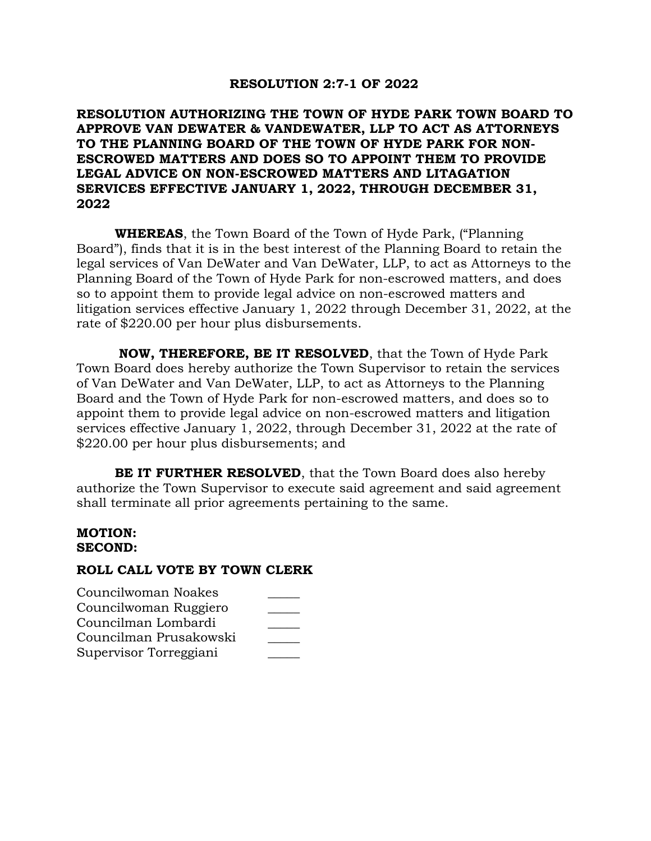#### **RESOLUTION 2:7-1 OF 2022**

# **RESOLUTION AUTHORIZING THE TOWN OF HYDE PARK TOWN BOARD TO APPROVE VAN DEWATER & VANDEWATER, LLP TO ACT AS ATTORNEYS TO THE PLANNING BOARD OF THE TOWN OF HYDE PARK FOR NON-ESCROWED MATTERS AND DOES SO TO APPOINT THEM TO PROVIDE LEGAL ADVICE ON NON-ESCROWED MATTERS AND LITAGATION SERVICES EFFECTIVE JANUARY 1, 2022, THROUGH DECEMBER 31, 2022**

**WHEREAS**, the Town Board of the Town of Hyde Park, ("Planning Board"), finds that it is in the best interest of the Planning Board to retain the legal services of Van DeWater and Van DeWater, LLP, to act as Attorneys to the Planning Board of the Town of Hyde Park for non-escrowed matters, and does so to appoint them to provide legal advice on non-escrowed matters and litigation services effective January 1, 2022 through December 31, 2022, at the rate of \$220.00 per hour plus disbursements.

**NOW, THEREFORE, BE IT RESOLVED**, that the Town of Hyde Park Town Board does hereby authorize the Town Supervisor to retain the services of Van DeWater and Van DeWater, LLP, to act as Attorneys to the Planning Board and the Town of Hyde Park for non-escrowed matters, and does so to appoint them to provide legal advice on non-escrowed matters and litigation services effective January 1, 2022, through December 31, 2022 at the rate of \$220.00 per hour plus disbursements; and

**BE IT FURTHER RESOLVED**, that the Town Board does also hereby authorize the Town Supervisor to execute said agreement and said agreement shall terminate all prior agreements pertaining to the same.

#### **MOTION: SECOND:**

| Councilwoman Noakes    |  |
|------------------------|--|
| Councilwoman Ruggiero  |  |
| Councilman Lombardi    |  |
| Councilman Prusakowski |  |
| Supervisor Torreggiani |  |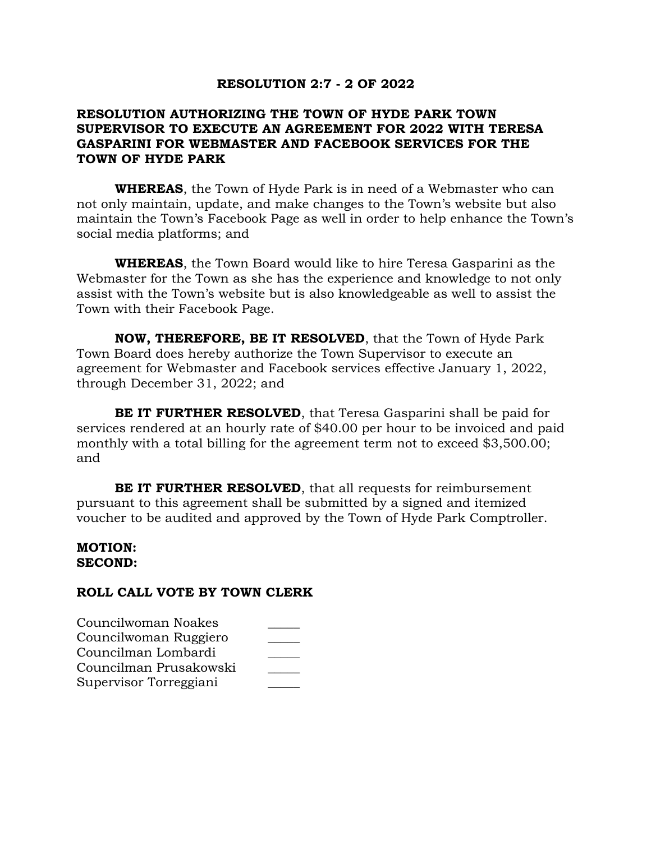#### **RESOLUTION 2:7 - 2 OF 2022**

# **RESOLUTION AUTHORIZING THE TOWN OF HYDE PARK TOWN SUPERVISOR TO EXECUTE AN AGREEMENT FOR 2022 WITH TERESA GASPARINI FOR WEBMASTER AND FACEBOOK SERVICES FOR THE TOWN OF HYDE PARK**

**WHEREAS**, the Town of Hyde Park is in need of a Webmaster who can not only maintain, update, and make changes to the Town's website but also maintain the Town's Facebook Page as well in order to help enhance the Town's social media platforms; and

**WHEREAS**, the Town Board would like to hire Teresa Gasparini as the Webmaster for the Town as she has the experience and knowledge to not only assist with the Town's website but is also knowledgeable as well to assist the Town with their Facebook Page.

**NOW, THEREFORE, BE IT RESOLVED**, that the Town of Hyde Park Town Board does hereby authorize the Town Supervisor to execute an agreement for Webmaster and Facebook services effective January 1, 2022, through December 31, 2022; and

**BE IT FURTHER RESOLVED**, that Teresa Gasparini shall be paid for services rendered at an hourly rate of \$40.00 per hour to be invoiced and paid monthly with a total billing for the agreement term not to exceed \$3,500.00; and

**BE IT FURTHER RESOLVED**, that all requests for reimbursement pursuant to this agreement shall be submitted by a signed and itemized voucher to be audited and approved by the Town of Hyde Park Comptroller.

#### **MOTION: SECOND:**

| Councilwoman Noakes    |  |
|------------------------|--|
| Councilwoman Ruggiero  |  |
| Councilman Lombardi    |  |
| Councilman Prusakowski |  |
| Supervisor Torreggiani |  |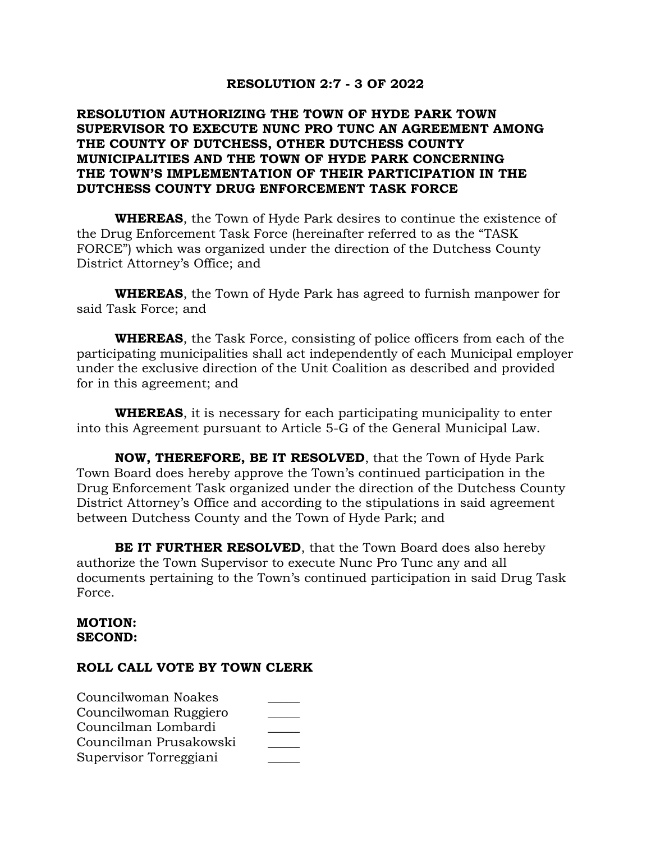### **RESOLUTION 2:7 - 3 OF 2022**

# **RESOLUTION AUTHORIZING THE TOWN OF HYDE PARK TOWN SUPERVISOR TO EXECUTE NUNC PRO TUNC AN AGREEMENT AMONG THE COUNTY OF DUTCHESS, OTHER DUTCHESS COUNTY MUNICIPALITIES AND THE TOWN OF HYDE PARK CONCERNING THE TOWN'S IMPLEMENTATION OF THEIR PARTICIPATION IN THE DUTCHESS COUNTY DRUG ENFORCEMENT TASK FORCE**

**WHEREAS**, the Town of Hyde Park desires to continue the existence of the Drug Enforcement Task Force (hereinafter referred to as the "TASK FORCE") which was organized under the direction of the Dutchess County District Attorney's Office; and

**WHEREAS**, the Town of Hyde Park has agreed to furnish manpower for said Task Force; and

**WHEREAS**, the Task Force, consisting of police officers from each of the participating municipalities shall act independently of each Municipal employer under the exclusive direction of the Unit Coalition as described and provided for in this agreement; and

**WHEREAS**, it is necessary for each participating municipality to enter into this Agreement pursuant to Article 5-G of the General Municipal Law.

**NOW, THEREFORE, BE IT RESOLVED**, that the Town of Hyde Park Town Board does hereby approve the Town's continued participation in the Drug Enforcement Task organized under the direction of the Dutchess County District Attorney's Office and according to the stipulations in said agreement between Dutchess County and the Town of Hyde Park; and

**BE IT FURTHER RESOLVED**, that the Town Board does also hereby authorize the Town Supervisor to execute Nunc Pro Tunc any and all documents pertaining to the Town's continued participation in said Drug Task Force.

#### **MOTION: SECOND:**

| Councilwoman Noakes    |  |
|------------------------|--|
| Councilwoman Ruggiero  |  |
| Councilman Lombardi    |  |
| Councilman Prusakowski |  |
| Supervisor Torreggiani |  |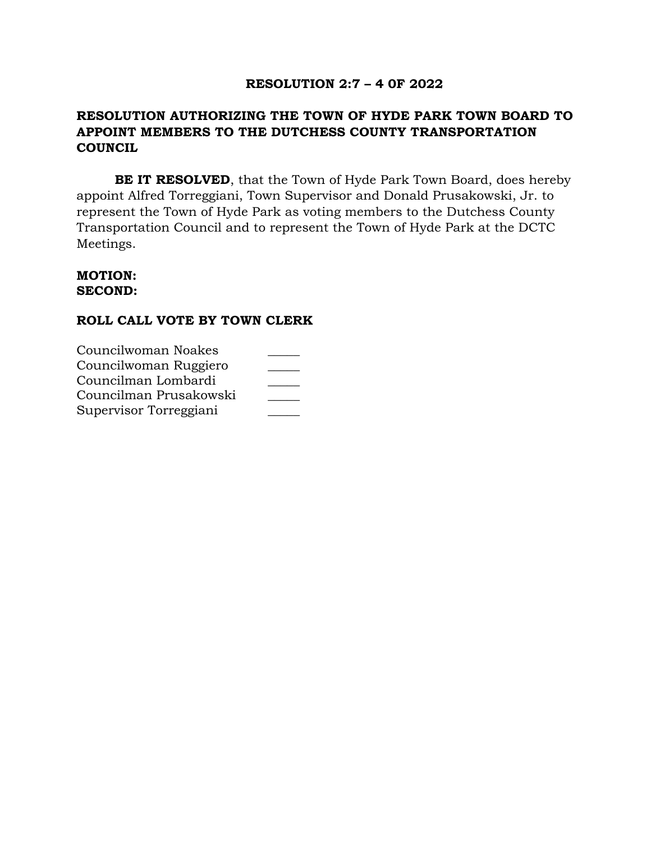# **RESOLUTION 2:7 – 4 0F 2022**

# **RESOLUTION AUTHORIZING THE TOWN OF HYDE PARK TOWN BOARD TO APPOINT MEMBERS TO THE DUTCHESS COUNTY TRANSPORTATION COUNCIL**

**BE IT RESOLVED**, that the Town of Hyde Park Town Board, does hereby appoint Alfred Torreggiani, Town Supervisor and Donald Prusakowski, Jr. to represent the Town of Hyde Park as voting members to the Dutchess County Transportation Council and to represent the Town of Hyde Park at the DCTC Meetings.

### **MOTION: SECOND:**

| Councilwoman Noakes    |  |
|------------------------|--|
| Councilwoman Ruggiero  |  |
| Councilman Lombardi    |  |
| Councilman Prusakowski |  |
| Supervisor Torreggiani |  |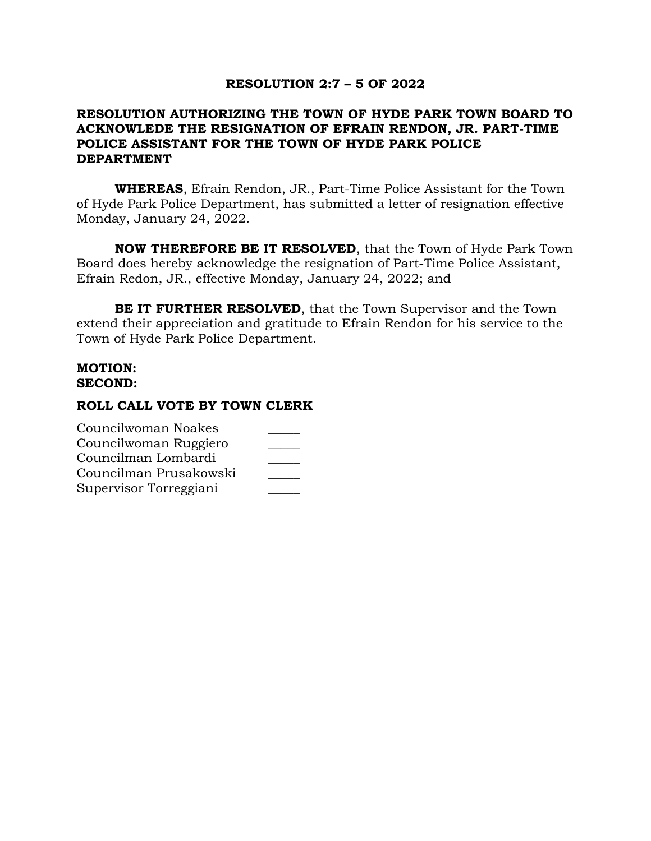#### **RESOLUTION 2:7 – 5 OF 2022**

# **RESOLUTION AUTHORIZING THE TOWN OF HYDE PARK TOWN BOARD TO ACKNOWLEDE THE RESIGNATION OF EFRAIN RENDON, JR. PART-TIME POLICE ASSISTANT FOR THE TOWN OF HYDE PARK POLICE DEPARTMENT**

**WHEREAS**, Efrain Rendon, JR., Part-Time Police Assistant for the Town of Hyde Park Police Department, has submitted a letter of resignation effective Monday, January 24, 2022.

**NOW THEREFORE BE IT RESOLVED**, that the Town of Hyde Park Town Board does hereby acknowledge the resignation of Part-Time Police Assistant, Efrain Redon, JR., effective Monday, January 24, 2022; and

**BE IT FURTHER RESOLVED**, that the Town Supervisor and the Town extend their appreciation and gratitude to Efrain Rendon for his service to the Town of Hyde Park Police Department.

#### **MOTION: SECOND:**

| Councilwoman Noakes    |  |
|------------------------|--|
| Councilwoman Ruggiero  |  |
| Councilman Lombardi    |  |
| Councilman Prusakowski |  |
| Supervisor Torreggiani |  |
|                        |  |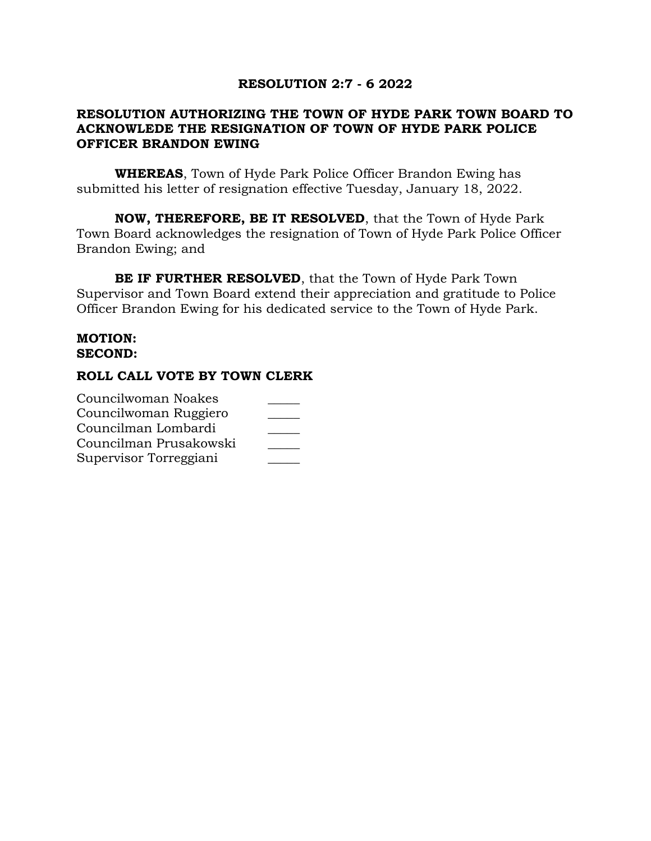### **RESOLUTION 2:7 - 6 2022**

# **RESOLUTION AUTHORIZING THE TOWN OF HYDE PARK TOWN BOARD TO ACKNOWLEDE THE RESIGNATION OF TOWN OF HYDE PARK POLICE OFFICER BRANDON EWING**

**WHEREAS**, Town of Hyde Park Police Officer Brandon Ewing has submitted his letter of resignation effective Tuesday, January 18, 2022.

**NOW, THEREFORE, BE IT RESOLVED**, that the Town of Hyde Park Town Board acknowledges the resignation of Town of Hyde Park Police Officer Brandon Ewing; and

**BE IF FURTHER RESOLVED**, that the Town of Hyde Park Town Supervisor and Town Board extend their appreciation and gratitude to Police Officer Brandon Ewing for his dedicated service to the Town of Hyde Park.

### **MOTION: SECOND:**

| Councilwoman Noakes    |  |
|------------------------|--|
| Councilwoman Ruggiero  |  |
| Councilman Lombardi    |  |
| Councilman Prusakowski |  |
| Supervisor Torreggiani |  |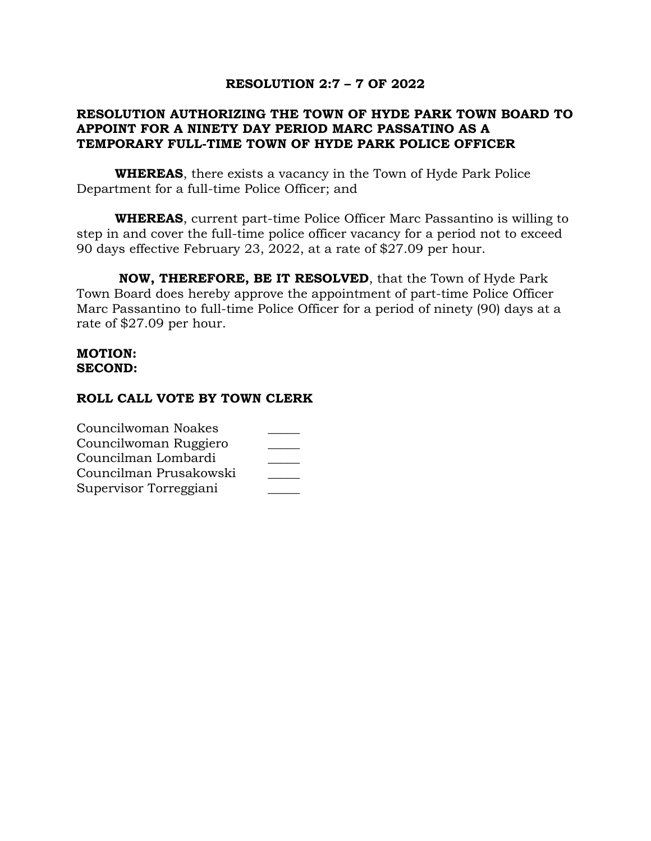### **RESOLUTION 2:7 – 7 OF 2022**

# **RESOLUTION AUTHORIZING THE TOWN OF HYDE PARK TOWN BOARD TO APPOINT FOR A NINETY DAY PERIOD MARC PASSATINO AS A TEMPORARY FULL-TIME TOWN OF HYDE PARK POLICE OFFICER**

**WHEREAS**, there exists a vacancy in the Town of Hyde Park Police Department for a full-time Police Officer; and

**WHEREAS**, current part-time Police Officer Marc Passantino is willing to step in and cover the full-time police officer vacancy for a period not to exceed 90 days effective February 23, 2022, at a rate of \$27.09 per hour.

**NOW, THEREFORE, BE IT RESOLVED**, that the Town of Hyde Park Town Board does hereby approve the appointment of part-time Police Officer Marc Passantino to full-time Police Officer for a period of ninety (90) days at a rate of \$27.09 per hour.

### **MOTION: SECOND:**

| Councilwoman Noakes    |  |
|------------------------|--|
| Councilwoman Ruggiero  |  |
| Councilman Lombardi    |  |
| Councilman Prusakowski |  |
| Supervisor Torreggiani |  |
|                        |  |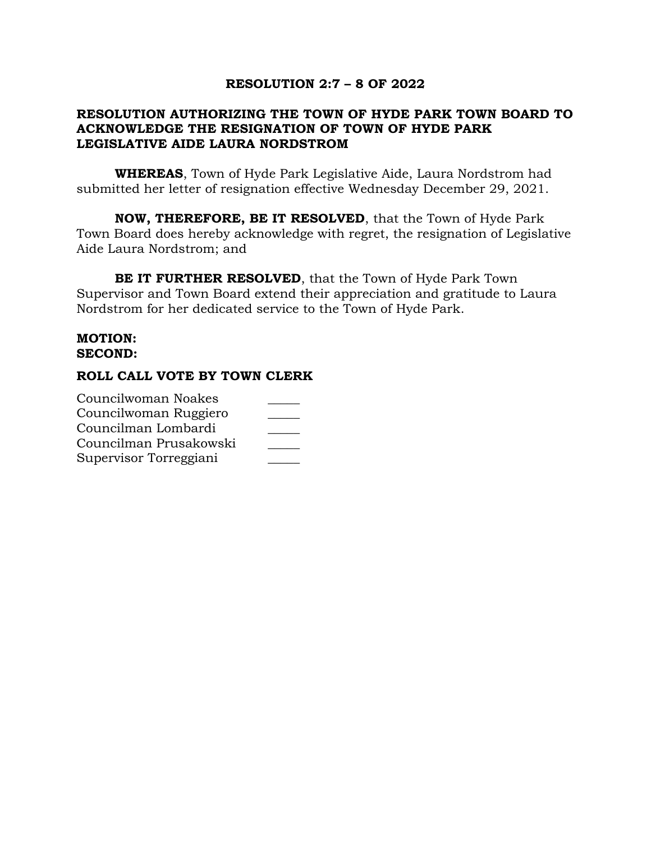### **RESOLUTION 2:7 – 8 OF 2022**

# **RESOLUTION AUTHORIZING THE TOWN OF HYDE PARK TOWN BOARD TO ACKNOWLEDGE THE RESIGNATION OF TOWN OF HYDE PARK LEGISLATIVE AIDE LAURA NORDSTROM**

**WHEREAS**, Town of Hyde Park Legislative Aide, Laura Nordstrom had submitted her letter of resignation effective Wednesday December 29, 2021.

**NOW, THEREFORE, BE IT RESOLVED**, that the Town of Hyde Park Town Board does hereby acknowledge with regret, the resignation of Legislative Aide Laura Nordstrom; and

**BE IT FURTHER RESOLVED**, that the Town of Hyde Park Town Supervisor and Town Board extend their appreciation and gratitude to Laura Nordstrom for her dedicated service to the Town of Hyde Park.

# **MOTION: SECOND:**

| Councilwoman Noakes    |  |
|------------------------|--|
| Councilwoman Ruggiero  |  |
| Councilman Lombardi    |  |
| Councilman Prusakowski |  |
| Supervisor Torreggiani |  |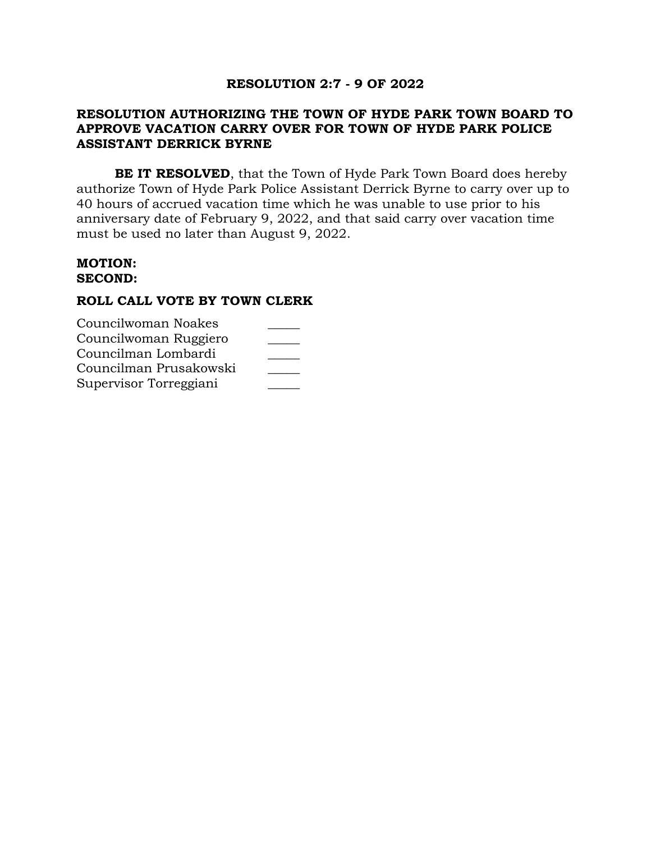# **RESOLUTION 2:7 - 9 OF 2022**

# **RESOLUTION AUTHORIZING THE TOWN OF HYDE PARK TOWN BOARD TO APPROVE VACATION CARRY OVER FOR TOWN OF HYDE PARK POLICE ASSISTANT DERRICK BYRNE**

**BE IT RESOLVED**, that the Town of Hyde Park Town Board does hereby authorize Town of Hyde Park Police Assistant Derrick Byrne to carry over up to 40 hours of accrued vacation time which he was unable to use prior to his anniversary date of February 9, 2022, and that said carry over vacation time must be used no later than August 9, 2022.

#### **MOTION: SECOND:**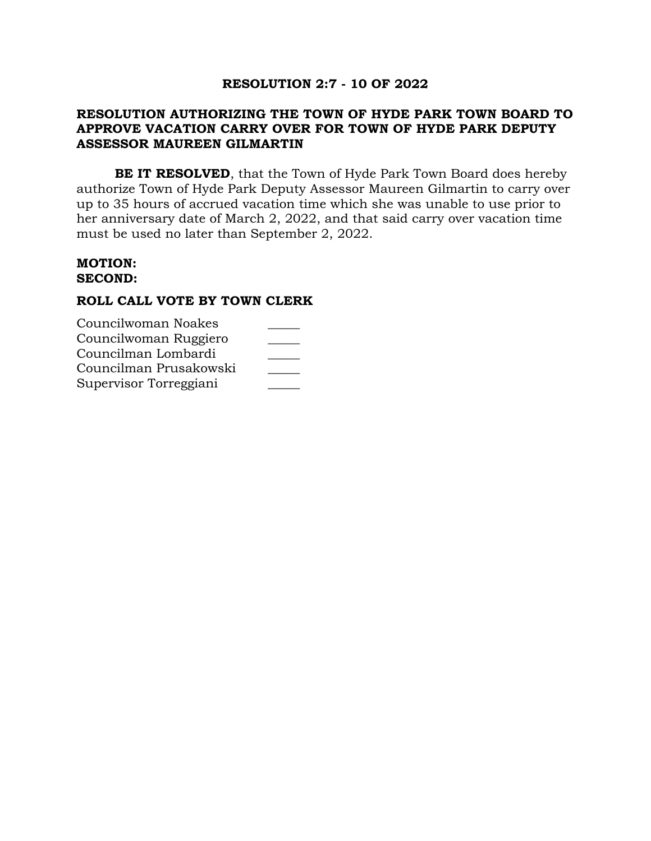# **RESOLUTION 2:7 - 10 OF 2022**

# **RESOLUTION AUTHORIZING THE TOWN OF HYDE PARK TOWN BOARD TO APPROVE VACATION CARRY OVER FOR TOWN OF HYDE PARK DEPUTY ASSESSOR MAUREEN GILMARTIN**

**BE IT RESOLVED**, that the Town of Hyde Park Town Board does hereby authorize Town of Hyde Park Deputy Assessor Maureen Gilmartin to carry over up to 35 hours of accrued vacation time which she was unable to use prior to her anniversary date of March 2, 2022, and that said carry over vacation time must be used no later than September 2, 2022.

#### **MOTION: SECOND:**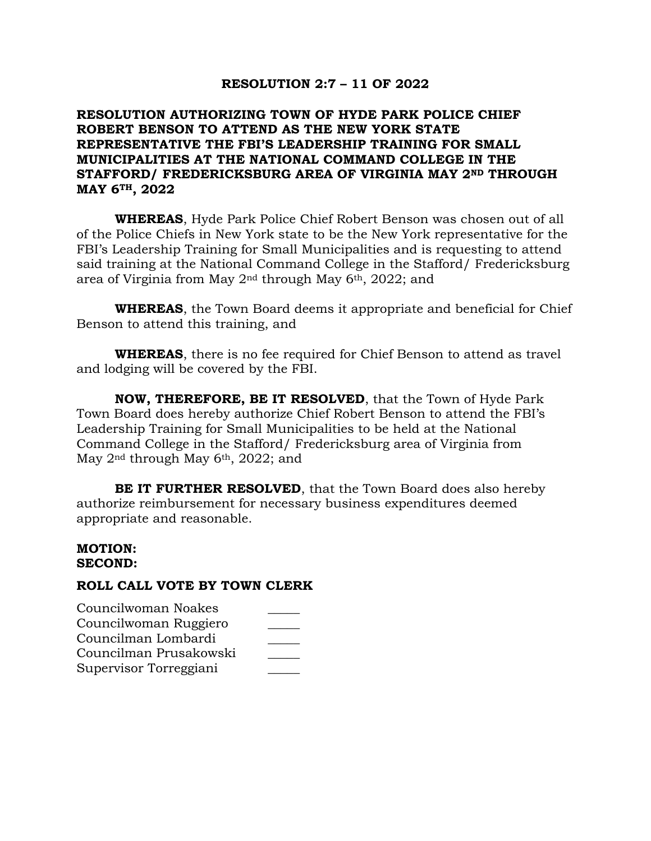### **RESOLUTION 2:7 – 11 OF 2022**

# **RESOLUTION AUTHORIZING TOWN OF HYDE PARK POLICE CHIEF ROBERT BENSON TO ATTEND AS THE NEW YORK STATE REPRESENTATIVE THE FBI'S LEADERSHIP TRAINING FOR SMALL MUNICIPALITIES AT THE NATIONAL COMMAND COLLEGE IN THE STAFFORD/ FREDERICKSBURG AREA OF VIRGINIA MAY 2ND THROUGH MAY 6TH, 2022**

**WHEREAS**, Hyde Park Police Chief Robert Benson was chosen out of all of the Police Chiefs in New York state to be the New York representative for the FBI's Leadership Training for Small Municipalities and is requesting to attend said training at the National Command College in the Stafford/ Fredericksburg area of Virginia from May 2nd through May 6th, 2022; and

**WHEREAS**, the Town Board deems it appropriate and beneficial for Chief Benson to attend this training, and

**WHEREAS**, there is no fee required for Chief Benson to attend as travel and lodging will be covered by the FBI.

**NOW, THEREFORE, BE IT RESOLVED**, that the Town of Hyde Park Town Board does hereby authorize Chief Robert Benson to attend the FBI's Leadership Training for Small Municipalities to be held at the National Command College in the Stafford/ Fredericksburg area of Virginia from May 2<sup>nd</sup> through May 6<sup>th</sup>, 2022; and

**BE IT FURTHER RESOLVED**, that the Town Board does also hereby authorize reimbursement for necessary business expenditures deemed appropriate and reasonable.

#### **MOTION: SECOND:**

| Councilwoman Noakes    |  |
|------------------------|--|
| Councilwoman Ruggiero  |  |
| Councilman Lombardi    |  |
| Councilman Prusakowski |  |
| Supervisor Torreggiani |  |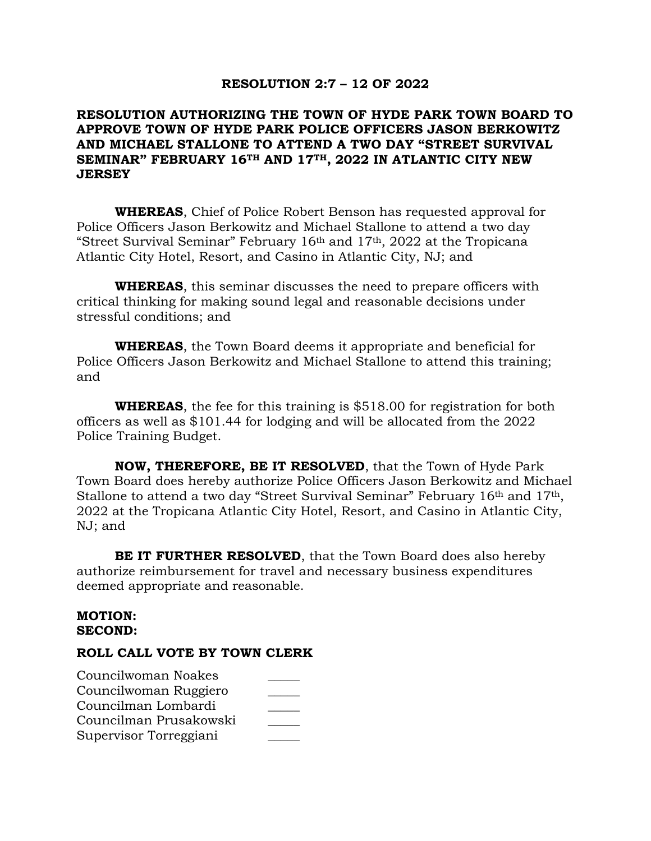#### **RESOLUTION 2:7 – 12 OF 2022**

# **RESOLUTION AUTHORIZING THE TOWN OF HYDE PARK TOWN BOARD TO APPROVE TOWN OF HYDE PARK POLICE OFFICERS JASON BERKOWITZ AND MICHAEL STALLONE TO ATTEND A TWO DAY "STREET SURVIVAL SEMINAR" FEBRUARY 16TH AND 17TH, 2022 IN ATLANTIC CITY NEW JERSEY**

**WHEREAS**, Chief of Police Robert Benson has requested approval for Police Officers Jason Berkowitz and Michael Stallone to attend a two day "Street Survival Seminar" February 16th and 17th, 2022 at the Tropicana Atlantic City Hotel, Resort, and Casino in Atlantic City, NJ; and

**WHEREAS**, this seminar discusses the need to prepare officers with critical thinking for making sound legal and reasonable decisions under stressful conditions; and

**WHEREAS**, the Town Board deems it appropriate and beneficial for Police Officers Jason Berkowitz and Michael Stallone to attend this training; and

**WHEREAS**, the fee for this training is \$518.00 for registration for both officers as well as \$101.44 for lodging and will be allocated from the 2022 Police Training Budget.

**NOW, THEREFORE, BE IT RESOLVED**, that the Town of Hyde Park Town Board does hereby authorize Police Officers Jason Berkowitz and Michael Stallone to attend a two day "Street Survival Seminar" February 16th and 17th, 2022 at the Tropicana Atlantic City Hotel, Resort, and Casino in Atlantic City, NJ; and

**BE IT FURTHER RESOLVED**, that the Town Board does also hereby authorize reimbursement for travel and necessary business expenditures deemed appropriate and reasonable.

#### **MOTION: SECOND:**

| Councilwoman Noakes    |  |
|------------------------|--|
| Councilwoman Ruggiero  |  |
| Councilman Lombardi    |  |
| Councilman Prusakowski |  |
| Supervisor Torreggiani |  |
|                        |  |